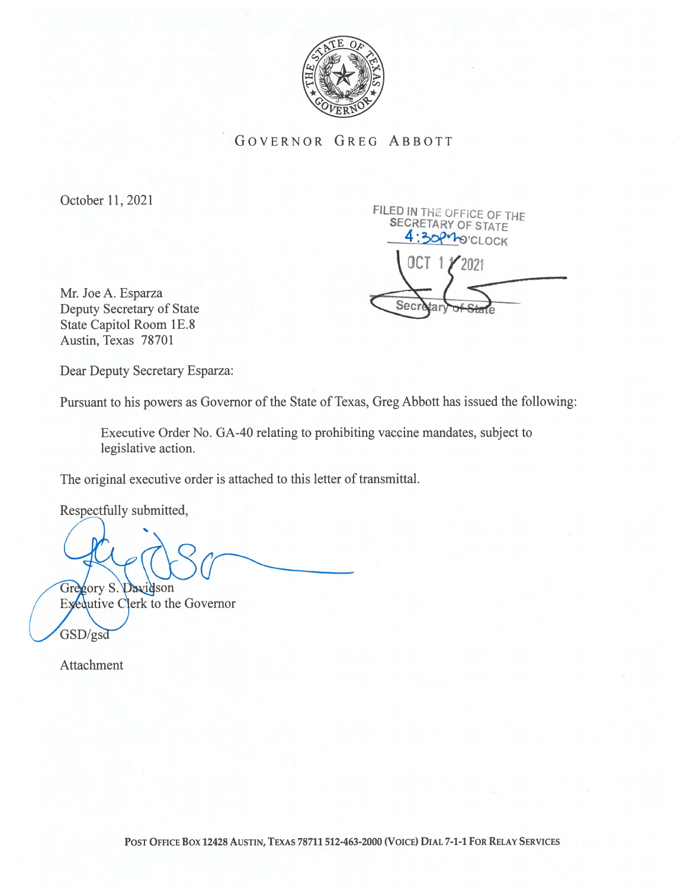

GOVERNOR GREG ABBOTT

October 11, 2021

FILED IN THE OFFICE OF THE SECRETARY OF STATE 1.30PMO'CLOCK OCT 2O2i Seci

Mr. Joe A. Esparza Deputy Secretary of State State Capitol Room 1E.8 Austin, Texas 78701

Dear Deputy Secretary Esparza:

Pursuant to his powers as Governor of the State of Texas, Greg Abbott has issued the following:

Executive Order No. GA-40 relating to prohibiting vaccine mandates, subject to legislative action.

The original executive order is attached to this letter of transmittal.

Respectfully submitted,

Gregory S. Davidson

Exequiive Clerk to the Governor GSD/gsd

Attachment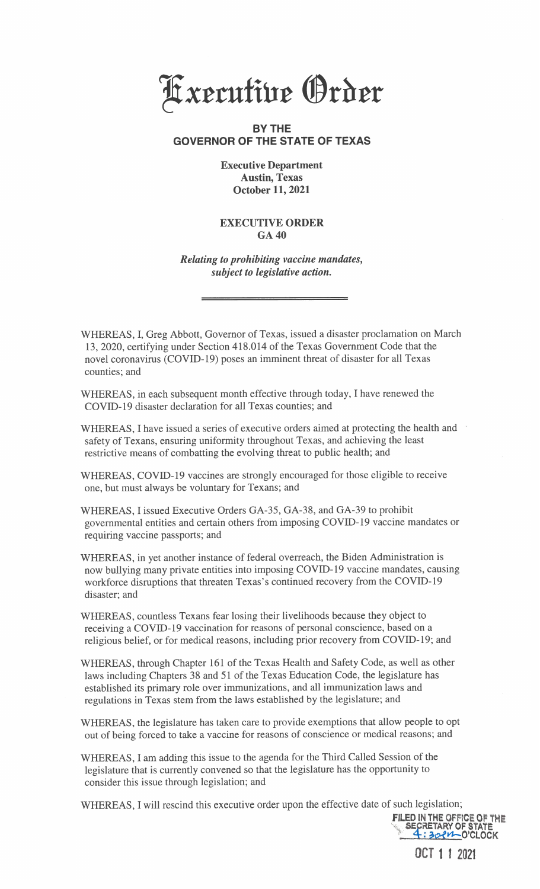

## BY THE GOVERNOR OF THE STATE OF TEXAS

## Executive Department Austin, Texas October 11, 2021

## EXECUTIVE ORDER GA 40

Relating to prohibiting vaccine mandates, subject to legislative action.

WHEREAS, I, Greg Abbott, Governor of Texas, issued a disaster proclamation on March 13 , 2020, certifying under Section 4 <sup>1</sup> 8.014 of the Texas Government Code that the novel coronavirus (COVID-19) poses an imminent threat of disaster for all Texas counties; and

WHEREAS, in each subsequent month effective through today, I have renewed the COVID-19 disaster declaration for all Texas counties; and

WHEREAS, I have issued a series of executive orders aimed at protecting the health and safety of Texans, ensuring uniformity throughout Texas, and achieving the least restrictive means of combatting the evolving threat to public health; and

WHEREAS, COVID-19 vaccines are strongly encouraged for those eligible to receive one, but must always be voluntary for Texans; and

WHEREAS, I issued Executive Orders GA-35, GA-38, and GA-39 to prohibit governmental entities and certain others from imposing COVID- 19 vaccine mandates or requiring vaccine passports; and

WHEREAS, in yet another instance of federal overreach, the Biden Administration is now bullying many private entities into imposing COVID-19 vaccine mandates, causing workforce disruptions that threaten Texas's continued recovery from the COVID-19 disaster; and

WHEREAS, countless Texans fear losing their livelihoods because they object to receiving a COVID-19 vaccination for reasons of personal conscience, based on a religious belief, or for medical reasons, including prior recovery from COVID-19; and

WHEREAS, through Chapter 161 of the Texas Health and Safety Code, as well as other laws including Chapters 38 and 51 of the Texas Education Code, the legislature has established its primary role over immunizations, and all immunization laws and regulations in Texas stem from the laws established by the legislature; and

WHEREAS, the legislature has taken care to provide exemptions that allow people to opt out of being forced to take a vaccine for reasons of conscience or medical reasons; and

WHEREAS, I am adding this issue to the agenda for the Third Called Session of the legislature that is currently convened so that the legislature has the opportunity to consider this issue through legislation; and

WHEREAS, I will rescind this executive order upon the effective date of such legislation;

FILED IN THE OFFICE OF THE SECRETARY OF STATE : 30 PM O'CLOCK

OCT 1 1 2021